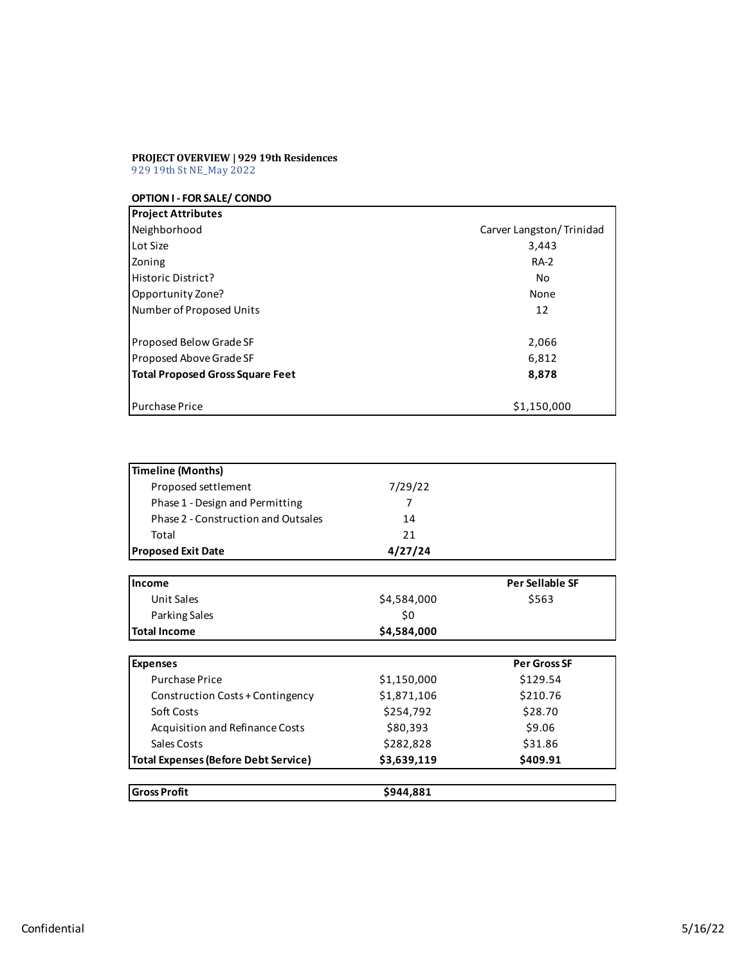## **PROJECTOVERVIEW | 929 19th Residences** 929 19th StNE\_May 2022

**OPTIONI - FOR SALE/ CONDO**

| <b>Project Attributes</b>        |                          |
|----------------------------------|--------------------------|
| Neighborhood                     | Carver Langston/Trinidad |
| Lot Size                         | 3,443                    |
| Zoning                           | <b>RA-2</b>              |
| Historic District?               | No                       |
| Opportunity Zone?                | None                     |
| Number of Proposed Units         | 12                       |
| <b>Proposed Below Grade SF</b>   | 2,066                    |
| Proposed Above Grade SF          | 6,812                    |
| Total Proposed Gross Square Feet | 8,878                    |
| <b>Purchase Price</b>            | \$1,150,000              |

| <b>Timeline (Months)</b>                    |             |                        |
|---------------------------------------------|-------------|------------------------|
| Proposed settlement                         | 7/29/22     |                        |
| Phase 1 - Design and Permitting             | 7           |                        |
| Phase 2 - Construction and Outsales         | 14          |                        |
| Total                                       | 21          |                        |
| <b>Proposed Exit Date</b>                   | 4/27/24     |                        |
| Income                                      |             | <b>Per Sellable SF</b> |
| <b>Unit Sales</b>                           | \$4,584,000 | \$563                  |
| Parking Sales                               | \$0         |                        |
| <b>Total Income</b>                         | \$4,584,000 |                        |
|                                             |             |                        |
| <b>Expenses</b>                             |             | <b>Per Gross SF</b>    |
| <b>Purchase Price</b>                       | \$1,150,000 | \$129.54               |
| Construction Costs + Contingency            | \$1,871,106 | \$210.76               |
| Soft Costs                                  | \$254,792   | \$28.70                |
| Acquisition and Refinance Costs             | \$80,393    | \$9.06                 |
| Sales Costs                                 | \$282,828   | \$31.86                |
| <b>Total Expenses (Before Debt Service)</b> | \$3,639,119 | \$409.91               |
| <b>Gross Profit</b>                         | \$944,881   |                        |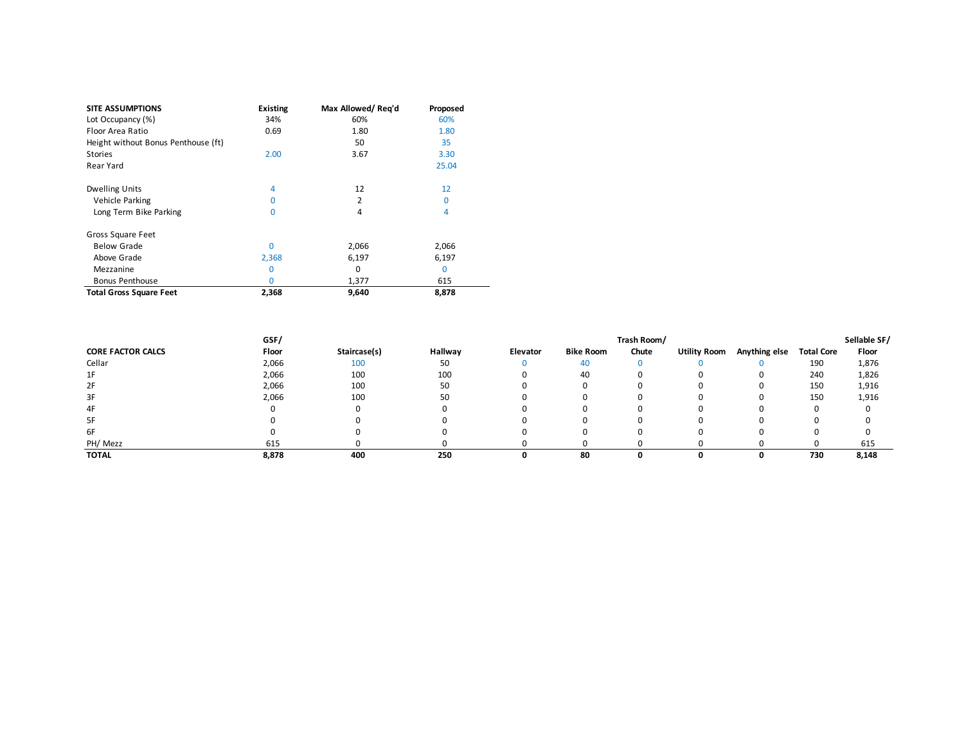| <b>SITE ASSUMPTIONS</b>             | <b>Existing</b> | Max Allowed/Reg'd | Proposed |
|-------------------------------------|-----------------|-------------------|----------|
| Lot Occupancy (%)                   | 34%             | 60%               | 60%      |
| Floor Area Ratio                    | 0.69            | 1.80              | 1.80     |
| Height without Bonus Penthouse (ft) |                 | 50                | 35       |
| <b>Stories</b>                      | 2.00            | 3.67              | 3.30     |
| Rear Yard                           |                 |                   | 25.04    |
| <b>Dwelling Units</b>               | 4               | 12                | 12       |
| Vehicle Parking                     | 0               | 2                 | 0        |
| Long Term Bike Parking              | $\Omega$        | 4                 | 4        |
| Gross Square Feet                   |                 |                   |          |
| <b>Below Grade</b>                  | $\Omega$        | 2,066             | 2,066    |
| Above Grade                         | 2,368           | 6,197             | 6,197    |
| Mezzanine                           | 0               | 0                 | $\Omega$ |
| <b>Bonus Penthouse</b>              | O               | 1,377             | 615      |
| <b>Total Gross Square Feet</b>      | 2,368           | 9,640             | 8,878    |

|                          | GSF/  |              |         | Trash Room/ |                  |       |                     |               |                   | Sellable SF/ |
|--------------------------|-------|--------------|---------|-------------|------------------|-------|---------------------|---------------|-------------------|--------------|
| <b>CORE FACTOR CALCS</b> | Floor | Staircase(s) | Hallway | Elevator    | <b>Bike Room</b> | Chute | <b>Utility Room</b> | Anything else | <b>Total Core</b> | Floor        |
| Cellar                   | 2,066 | 100          | 50      |             | 40               |       |                     |               | 190               | 1,876        |
| 1F                       | 2,066 | 100          | 100     |             | 40               |       |                     | O             | 240               | 1,826        |
| 2F                       | 2,066 | 100          | 50      |             |                  |       |                     |               | 150               | 1,916        |
| 3F                       | 2,066 | 100          | 50      |             |                  |       |                     | $\mathbf{I}$  | 150               | 1,916        |
| 4F                       |       |              |         |             |                  |       |                     |               |                   |              |
| 5F                       |       |              |         |             |                  |       |                     |               |                   |              |
| 6F                       |       |              |         |             |                  |       |                     |               |                   |              |
| PH/ Mezz                 | 615   |              |         |             |                  |       |                     |               |                   | 615          |
| <b>TOTAL</b>             | 8,878 | 400          | 250     |             | 80               |       |                     |               | 730               | 8,148        |